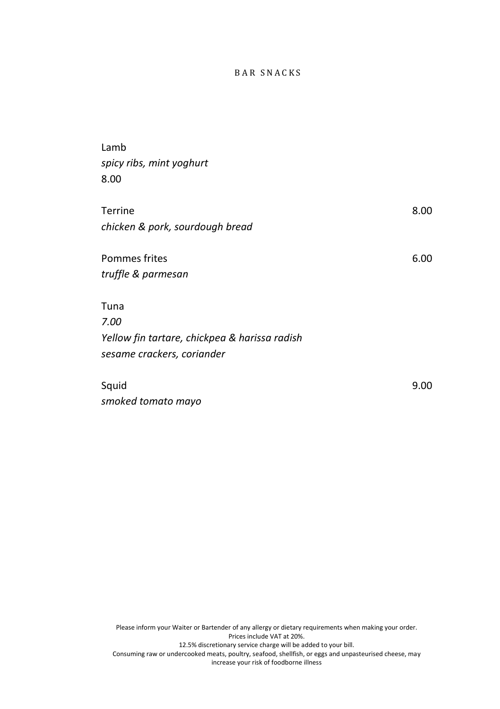# B A R S N A C K S

| Lamb                                          |      |
|-----------------------------------------------|------|
| spicy ribs, mint yoghurt                      |      |
| 8.00                                          |      |
|                                               |      |
| <b>Terrine</b>                                | 8.00 |
| chicken & pork, sourdough bread               |      |
|                                               |      |
| Pommes frites                                 | 6.00 |
| truffle & parmesan                            |      |
|                                               |      |
| Tuna                                          |      |
| 7.00                                          |      |
| Yellow fin tartare, chickpea & harissa radish |      |
| sesame crackers, coriander                    |      |
|                                               |      |
| Squid                                         | 9.00 |
| smoked tomato mayo                            |      |

Please inform your Waiter or Bartender of any allergy or dietary requirements when making your order. Prices include VAT at 20%. 12.5% discretionary service charge will be added to your bill. Consuming raw or undercooked meats, poultry, seafood, shellfish, or eggs and unpasteurised cheese, may increase your risk of foodborne illness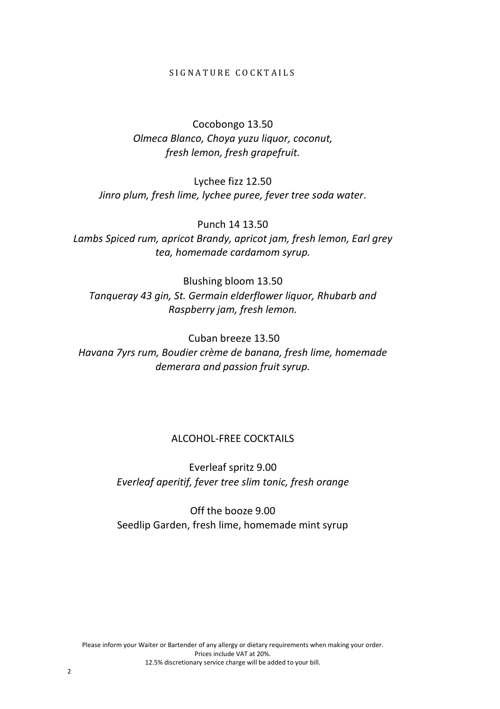### SIGNATURE COCKTAILS

Cocobongo 13.50 *Olmeca Blanco, Choya yuzu liquor, coconut, fresh lemon, fresh grapefruit.*

Lychee fizz 12.50 *Jinro plum, fresh lime, lychee puree, fever tree soda water.*

Punch 14 13.50 *Lambs Spiced rum, apricot Brandy, apricot jam, fresh lemon, Earl grey tea, homemade cardamom syrup.*

Blushing bloom 13.50 *Tanqueray 43 gin, St. Germain elderflower liquor, Rhubarb and Raspberry jam, fresh lemon.*

Cuban breeze 13.50 *Havana 7yrs rum, Boudier crème de banana, fresh lime, homemade demerara and passion fruit syrup.*

# ALCOHOL-FREE COCKTAILS

Everleaf spritz 9.00 *Everleaf aperitif, fever tree slim tonic, fresh orange*

Off the booze 9.00 Seedlip Garden, fresh lime, homemade mint syrup

Please inform your Waiter or Bartender of any allergy or dietary requirements when making your order. Prices include VAT at 20%. 12.5% discretionary service charge will be added to your bill.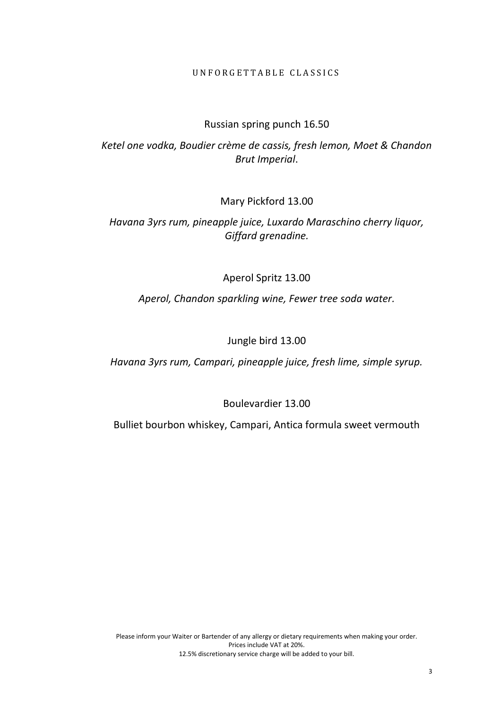#### U N F O R G E T T A B L E C L A S S I C S

# Russian spring punch 16.50

*Ketel one vodka, Boudier crème de cassis, fresh lemon, Moet & Chandon Brut Imperial*.

Mary Pickford 13.00

*Havana 3yrs rum, pineapple juice, Luxardo Maraschino cherry liquor, Giffard grenadine.*

Aperol Spritz 13.00

*Aperol, Chandon sparkling wine, Fewer tree soda water.*

Jungle bird 13.00

*Havana 3yrs rum, Campari, pineapple juice, fresh lime, simple syrup.*

Boulevardier 13.00

Bulliet bourbon whiskey, Campari, Antica formula sweet vermouth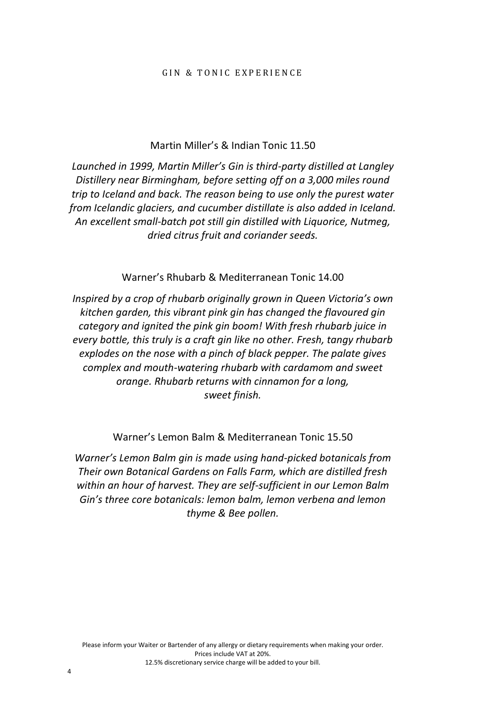### Martin Miller's & Indian Tonic 11.50

*Launched in 1999, Martin Miller's Gin is third-party distilled at Langley Distillery near Birmingham, before setting off on a 3,000 miles round trip to Iceland and back. The reason being to use only the purest water from Icelandic glaciers, and cucumber distillate is also added in Iceland. An excellent small-batch pot still gin distilled with Liquorice, Nutmeg, dried citrus fruit and coriander seeds.*

Warner's Rhubarb & Mediterranean Tonic 14.00

*Inspired by a crop of rhubarb originally grown in Queen Victoria's own kitchen garden, this vibrant pink gin has changed the flavoured gin category and ignited the pink gin boom! With fresh rhubarb juice in every bottle, this truly is a craft gin like no other. Fresh, tangy rhubarb explodes on the nose with a pinch of black pepper. The palate gives complex and mouth-watering rhubarb with cardamom and sweet orange. Rhubarb returns with cinnamon for a long, sweet finish.*

Warner's Lemon Balm & Mediterranean Tonic 15.50

*Warner's Lemon Balm gin is made using hand-picked botanicals from Their own Botanical Gardens on Falls Farm, which are distilled fresh within an hour of harvest. They are self-sufficient in our Lemon Balm Gin's three core botanicals: lemon balm, lemon verbena and lemon thyme & Bee pollen.*

4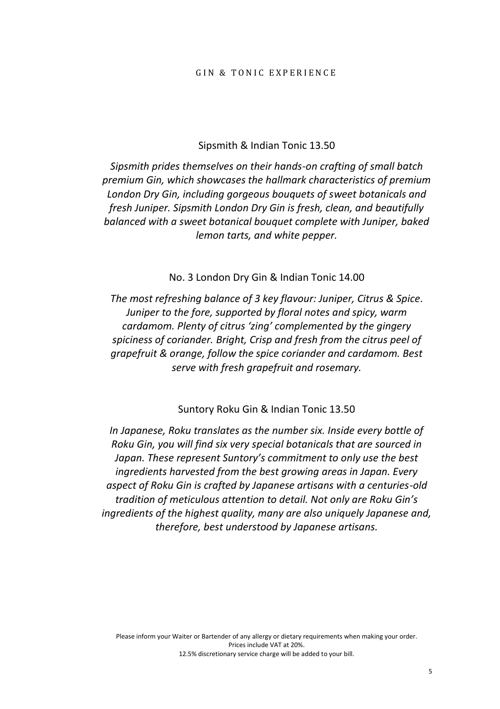#### GIN & TONIC EXPERIENCE

#### Sipsmith & Indian Tonic 13.50

*Sipsmith prides themselves on their hands-on crafting of small batch premium Gin, which showcases the hallmark characteristics of premium London Dry Gin, including gorgeous bouquets of sweet botanicals and fresh Juniper. Sipsmith London Dry Gin is fresh, clean, and beautifully balanced with a sweet botanical bouquet complete with Juniper, baked lemon tarts, and white pepper.*

No. 3 London Dry Gin & Indian Tonic 14.00

*The most refreshing balance of 3 key flavour: Juniper, Citrus & Spice. Juniper to the fore, supported by floral notes and spicy, warm cardamom. Plenty of citrus 'zing' complemented by the gingery spiciness of coriander. Bright, Crisp and fresh from the citrus peel of grapefruit & orange, follow the spice coriander and cardamom. Best serve with fresh grapefruit and rosemary.*

Suntory Roku Gin & Indian Tonic 13.50

*In Japanese, Roku translates as the number six. Inside every bottle of Roku Gin, you will find six very special botanicals that are sourced in Japan. These represent Suntory's commitment to only use the best ingredients harvested from the best growing areas in Japan. Every aspect of Roku Gin is crafted by Japanese artisans with a centuries-old tradition of meticulous attention to detail. Not only are Roku Gin's ingredients of the highest quality, many are also uniquely Japanese and, therefore, best understood by Japanese artisans.*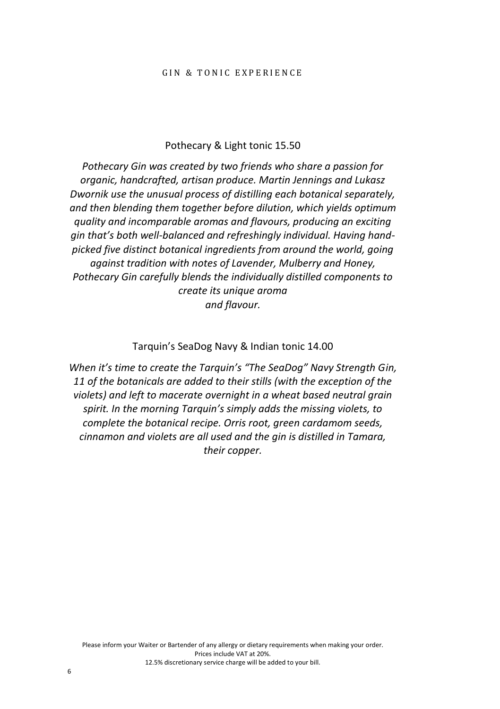#### GIN & TONIC EXPERIENCE

#### Pothecary & Light tonic 15.50

*Pothecary Gin was created by two friends who share a passion for organic, handcrafted, artisan produce. Martin Jennings and Lukasz Dwornik use the unusual process of distilling each botanical separately, and then blending them together before dilution, which yields optimum quality and incomparable aromas and flavours, producing an exciting gin that's both well-balanced and refreshingly individual. Having handpicked five distinct botanical ingredients from around the world, going against tradition with notes of Lavender, Mulberry and Honey, Pothecary Gin carefully blends the individually distilled components to create its unique aroma and flavour.*

#### Tarquin's SeaDog Navy & Indian tonic 14.00

*When it's time to create the Tarquin's "The SeaDog" Navy Strength Gin, 11 of the botanicals are added to their stills (with the exception of the violets) and left to macerate overnight in a wheat based neutral grain spirit. In the morning Tarquin's simply adds the missing violets, to complete the botanical recipe. Orris root, green cardamom seeds, cinnamon and violets are all used and the gin is distilled in Tamara, their copper.*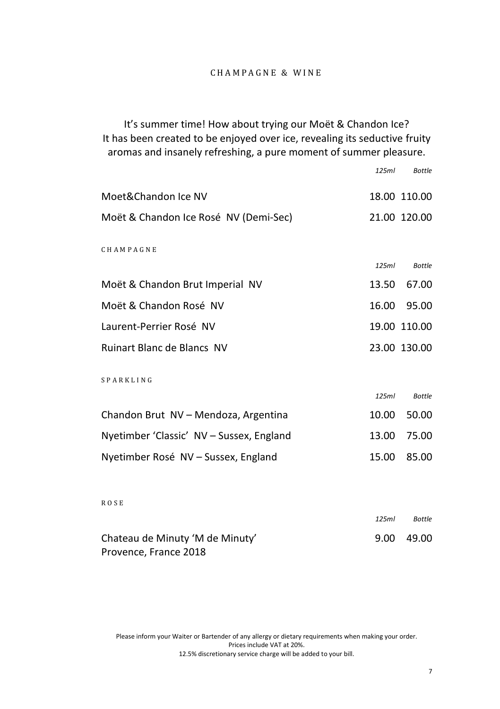It's summer time! How about trying our Moët & Chandon Ice? It has been created to be enjoyed over ice, revealing its seductive fruity aromas and insanely refreshing, a pure moment of summer pleasure.

|                                          | 125ml | <b>Bottle</b> |
|------------------------------------------|-------|---------------|
| Moet&Chandon Ice NV                      |       | 18.00 110.00  |
| Moët & Chandon Ice Rosé NV (Demi-Sec)    |       | 21.00 120.00  |
| CHAMPAGNE                                |       |               |
|                                          | 125ml | <b>Bottle</b> |
| Moët & Chandon Brut Imperial NV          | 13.50 | 67.00         |
| Moët & Chandon Rosé NV                   | 16.00 | 95.00         |
| Laurent-Perrier Rosé NV                  |       | 19.00 110.00  |
| <b>Ruinart Blanc de Blancs NV</b>        |       | 23.00 130.00  |
| SPARKLING                                |       |               |
|                                          | 125ml | <b>Bottle</b> |
| Chandon Brut NV - Mendoza, Argentina     | 10.00 | 50.00         |
| Nyetimber 'Classic' NV - Sussex, England | 13.00 | 75.00         |
| Nyetimber Rosé NV - Sussex, England      | 15.00 | 85.00         |
|                                          |       |               |
| <b>ROSE</b>                              |       |               |
|                                          | 125ml | <b>Bottle</b> |
| Chateau de Minuty 'M de Minuty'          | 9.00  | 49.00         |

Please inform your Waiter or Bartender of any allergy or dietary requirements when making your order. Prices include VAT at 20%. 12.5% discretionary service charge will be added to your bill.

Provence, France 2018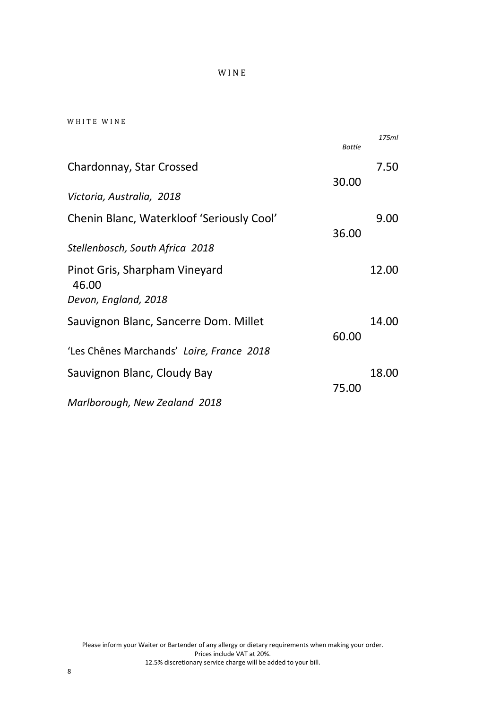### W I N E

|  |  |  |  |  | WHITE WINE |  |  |  |  |
|--|--|--|--|--|------------|--|--|--|--|
|--|--|--|--|--|------------|--|--|--|--|

|                                           | <b>Bottle</b> | 175ml |
|-------------------------------------------|---------------|-------|
| Chardonnay, Star Crossed                  |               | 7.50  |
| Victoria, Australia, 2018                 | 30.00         |       |
| Chenin Blanc, Waterkloof 'Seriously Cool' |               | 9.00  |
| Stellenbosch, South Africa 2018           | 36.00         |       |
| Pinot Gris, Sharpham Vineyard<br>46.00    |               | 12.00 |
| Devon, England, 2018                      |               |       |
| Sauvignon Blanc, Sancerre Dom. Millet     |               | 14.00 |
| 'Les Chênes Marchands' Loire, France 2018 | 60.00         |       |
| Sauvignon Blanc, Cloudy Bay               |               | 18.00 |
| Marlborough, New Zealand 2018             | 75.00         |       |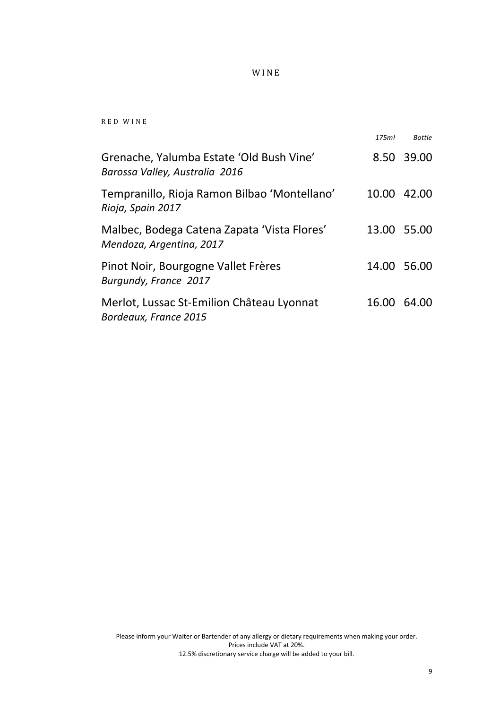### W I N E

R E D W I N E

|                                                                            | 175ml       | <b>Bottle</b> |
|----------------------------------------------------------------------------|-------------|---------------|
| Grenache, Yalumba Estate 'Old Bush Vine'<br>Barossa Valley, Australia 2016 |             | 8.50 39.00    |
| Tempranillo, Rioja Ramon Bilbao 'Montellano'<br>Rioja, Spain 2017          | 10.00 42.00 |               |
| Malbec, Bodega Catena Zapata 'Vista Flores'<br>Mendoza, Argentina, 2017    | 13.00 55.00 |               |
| Pinot Noir, Bourgogne Vallet Frères<br>Burgundy, France 2017               | 14.00 56.00 |               |
| Merlot, Lussac St-Emilion Château Lyonnat<br>Bordeaux, France 2015         | 16.00 64.00 |               |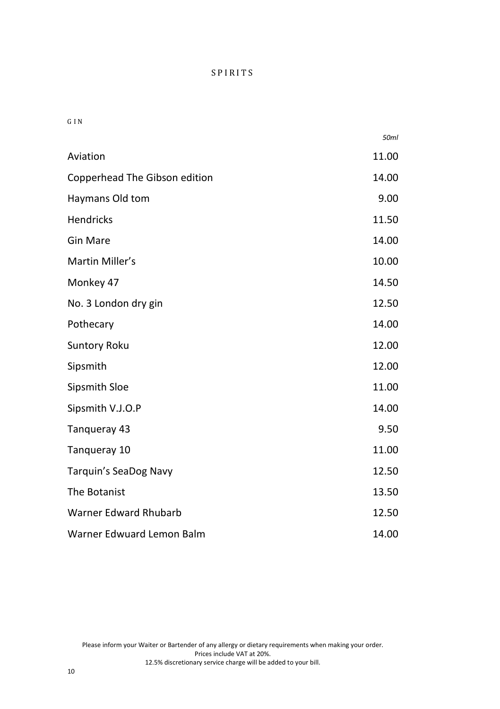G I N

|                               | 50ml  |
|-------------------------------|-------|
| Aviation                      | 11.00 |
| Copperhead The Gibson edition | 14.00 |
| Haymans Old tom               | 9.00  |
| <b>Hendricks</b>              | 11.50 |
| <b>Gin Mare</b>               | 14.00 |
| Martin Miller's               | 10.00 |
| Monkey 47                     | 14.50 |
| No. 3 London dry gin          | 12.50 |
| Pothecary                     | 14.00 |
| <b>Suntory Roku</b>           | 12.00 |
| Sipsmith                      | 12.00 |
| Sipsmith Sloe                 | 11.00 |
| Sipsmith V.J.O.P              | 14.00 |
| Tangueray 43                  | 9.50  |
| Tangueray 10                  | 11.00 |
| Tarquin's SeaDog Navy         | 12.50 |
| The Botanist                  | 13.50 |
| <b>Warner Edward Rhubarb</b>  | 12.50 |
| Warner Edwuard Lemon Balm     | 14.00 |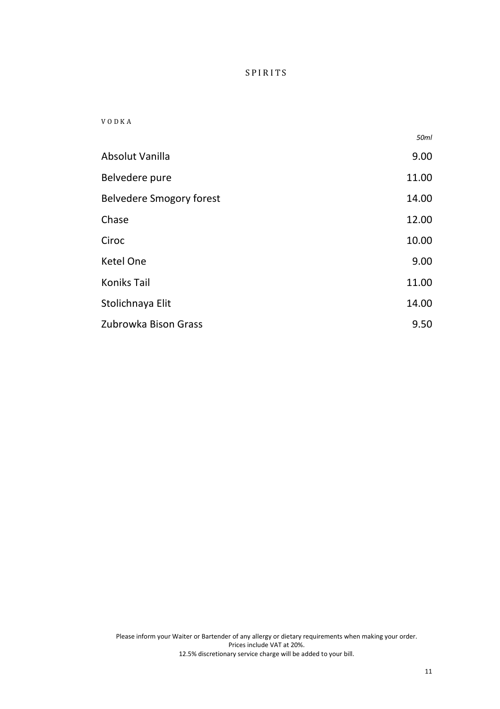#### V O D K A

|                          | 50ml  |
|--------------------------|-------|
| Absolut Vanilla          | 9.00  |
| Belvedere pure           | 11.00 |
| Belvedere Smogory forest | 14.00 |
| Chase                    | 12.00 |
| Ciroc                    | 10.00 |
| Ketel One                | 9.00  |
| <b>Koniks Tail</b>       | 11.00 |
| Stolichnaya Elit         | 14.00 |
| Zubrowka Bison Grass     | 9.50  |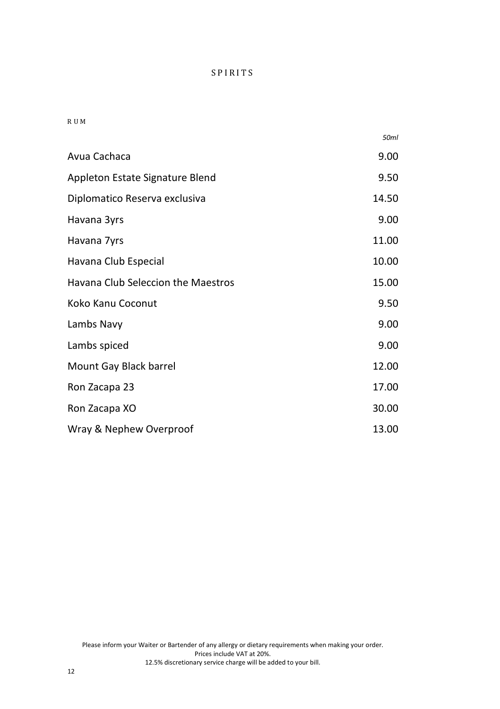#### R U M

|                                    | 50ml  |
|------------------------------------|-------|
| Avua Cachaca                       | 9.00  |
| Appleton Estate Signature Blend    | 9.50  |
| Diplomatico Reserva exclusiva      | 14.50 |
| Havana 3yrs                        | 9.00  |
| Havana 7yrs                        | 11.00 |
| Havana Club Especial               | 10.00 |
| Havana Club Seleccion the Maestros | 15.00 |
| Koko Kanu Coconut                  | 9.50  |
| Lambs Navy                         | 9.00  |
| Lambs spiced                       | 9.00  |
| Mount Gay Black barrel             | 12.00 |
| Ron Zacapa 23                      | 17.00 |
| Ron Zacapa XO                      | 30.00 |
| Wray & Nephew Overproof            | 13.00 |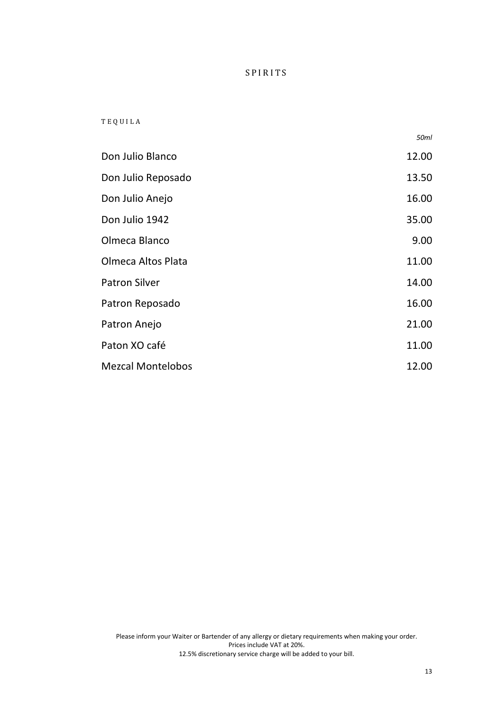### T E Q U I L A

|                          | 50ml  |
|--------------------------|-------|
| Don Julio Blanco         | 12.00 |
| Don Julio Reposado       | 13.50 |
| Don Julio Anejo          | 16.00 |
| Don Julio 1942           | 35.00 |
| Olmeca Blanco            | 9.00  |
| Olmeca Altos Plata       | 11.00 |
| <b>Patron Silver</b>     | 14.00 |
| Patron Reposado          | 16.00 |
| Patron Anejo             | 21.00 |
| Paton XO café            | 11.00 |
| <b>Mezcal Montelobos</b> | 12.00 |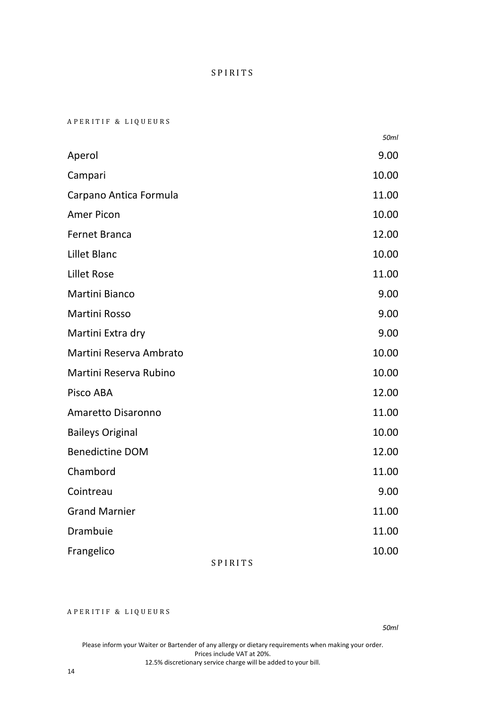A P E R I T I F & L I Q U E U R S

|                              | 50ml  |
|------------------------------|-------|
| Aperol                       | 9.00  |
| Campari                      | 10.00 |
| Carpano Antica Formula       | 11.00 |
| Amer Picon                   | 10.00 |
| <b>Fernet Branca</b>         | 12.00 |
| Lillet Blanc                 | 10.00 |
| Lillet Rose                  | 11.00 |
| <b>Martini Bianco</b>        | 9.00  |
| Martini Rosso                | 9.00  |
| Martini Extra dry            | 9.00  |
| Martini Reserva Ambrato      | 10.00 |
| Martini Reserva Rubino       | 10.00 |
| Pisco ABA                    | 12.00 |
| Amaretto Disaronno           | 11.00 |
| <b>Baileys Original</b>      | 10.00 |
| <b>Benedictine DOM</b>       | 12.00 |
| Chambord                     | 11.00 |
| Cointreau                    | 9.00  |
| <b>Grand Marnier</b>         | 11.00 |
| Drambuie                     | 11.00 |
| Frangelico<br><b>SPIRITS</b> | 10.00 |

### A P E R I T I F & L I Q U E U R S

*50ml*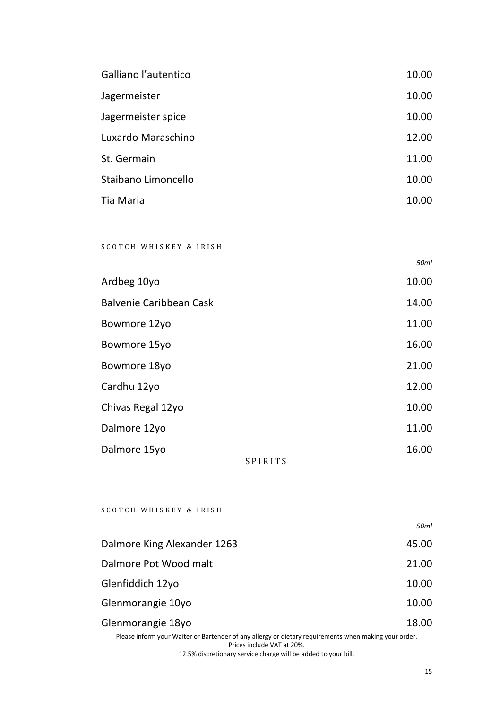| Galliano l'autentico | 10.00 |
|----------------------|-------|
| Jagermeister         | 10.00 |
| Jagermeister spice   | 10.00 |
| Luxardo Maraschino   | 12.00 |
| St. Germain          | 11.00 |
| Staibano Limoncello  | 10.00 |
| Tia Maria            | 10.00 |

# S C O T C H W H I S K E Y & I R I S H

| Ardbeg 10yo             |                | 10.00 |
|-------------------------|----------------|-------|
| Balvenie Caribbean Cask |                | 14.00 |
| Bowmore 12yo            |                | 11.00 |
| Bowmore 15yo            |                | 16.00 |
| Bowmore 18yo            |                | 21.00 |
| Cardhu 12yo             |                | 12.00 |
| Chivas Regal 12yo       |                | 10.00 |
| Dalmore 12yo            |                | 11.00 |
| Dalmore 15yo            |                | 16.00 |
|                         | <b>SPIRITS</b> |       |

#### S C O T C H W H I S K E Y & I R I S H

|                             | 50ml  |
|-----------------------------|-------|
| Dalmore King Alexander 1263 | 45.00 |
| Dalmore Pot Wood malt       | 21.00 |
| Glenfiddich 12yo            | 10.00 |
| Glenmorangie 10yo           | 10.00 |
| Glenmorangie 18yo           | 18.00 |
|                             |       |

Please inform your Waiter or Bartender of any allergy or dietary requirements when making your order. Prices include VAT at 20%.

12.5% discretionary service charge will be added to your bill.

*50ml*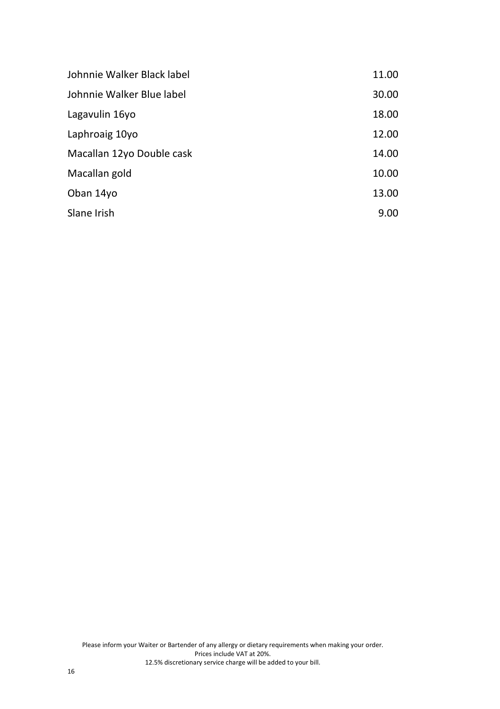| Johnnie Walker Black label | 11.00 |
|----------------------------|-------|
| Johnnie Walker Blue label  | 30.00 |
| Lagavulin 16yo             | 18.00 |
| Laphroaig 10yo             | 12.00 |
| Macallan 12yo Double cask  | 14.00 |
| Macallan gold              | 10.00 |
| Oban 14yo                  | 13.00 |
| Slane Irish                | 9.00  |
|                            |       |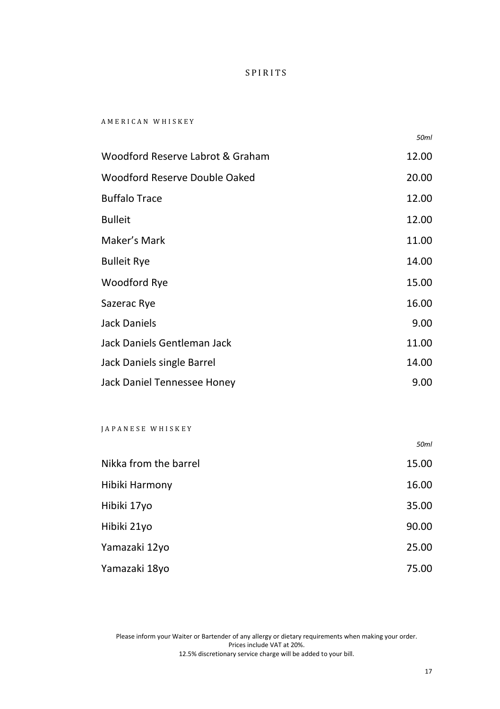#### A M E R I C A N W H I S K E Y

*50ml*

| Woodford Reserve Labrot & Graham | 12.00 |
|----------------------------------|-------|
| Woodford Reserve Double Oaked    | 20.00 |
| <b>Buffalo Trace</b>             | 12.00 |
| <b>Bulleit</b>                   | 12.00 |
| Maker's Mark                     | 11.00 |
| <b>Bulleit Rye</b>               | 14.00 |
| Woodford Rye                     | 15.00 |
| Sazerac Rye                      | 16.00 |
| <b>Jack Daniels</b>              | 9.00  |
| Jack Daniels Gentleman Jack      | 11.00 |
| Jack Daniels single Barrel       | 14.00 |
| Jack Daniel Tennessee Honey      | 9.00  |

#### J A P A N E S E W H I S K E Y

|                       | 50ml  |
|-----------------------|-------|
| Nikka from the barrel | 15.00 |
| Hibiki Harmony        | 16.00 |
| Hibiki 17yo           | 35.00 |
| Hibiki 21yo           | 90.00 |
| Yamazaki 12yo         | 25.00 |
| Yamazaki 18yo         | 75.00 |

Please inform your Waiter or Bartender of any allergy or dietary requirements when making your order. Prices include VAT at 20%. 12.5% discretionary service charge will be added to your bill.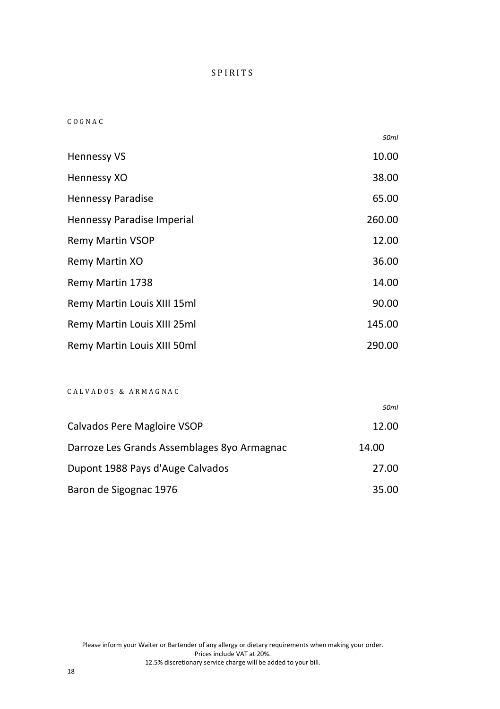#### C O G N A C

|                             | 50ml   |
|-----------------------------|--------|
| <b>Hennessy VS</b>          | 10.00  |
| Hennessy XO                 | 38.00  |
| <b>Hennessy Paradise</b>    | 65.00  |
| Hennessy Paradise Imperial  | 260.00 |
| <b>Remy Martin VSOP</b>     | 12.00  |
| Remy Martin XO              | 36.00  |
| Remy Martin 1738            | 14.00  |
| Remy Martin Louis XIII 15ml | 90.00  |
| Remy Martin Louis XIII 25ml | 145.00 |
| Remy Martin Louis XIII 50ml | 290.00 |

### C A L V A D O S & A R M A G N A C

|                                             | 50ml  |
|---------------------------------------------|-------|
| Calvados Pere Magloire VSOP                 | 12.00 |
| Darroze Les Grands Assemblages 8yo Armagnac | 14.00 |
| Dupont 1988 Pays d'Auge Calvados            | 27.00 |
| Baron de Sigognac 1976                      | 35.00 |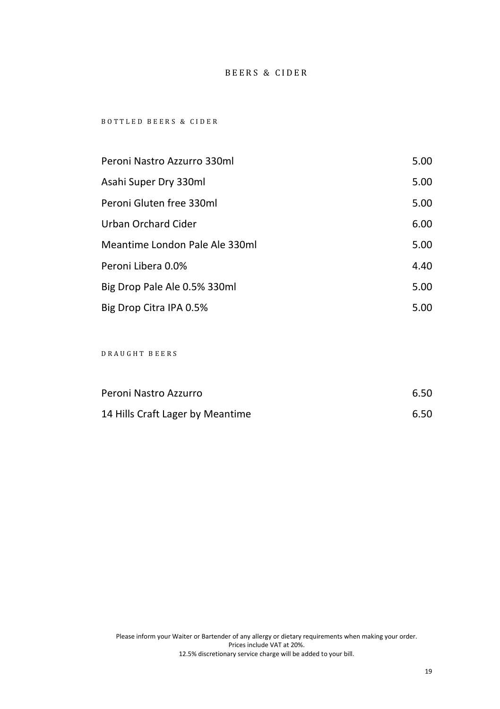### BEERS & CIDER

#### B O T T L E D B E E R S & C I D E R

| Peroni Nastro Azzurro 330ml    | 5.00 |
|--------------------------------|------|
| Asahi Super Dry 330ml          | 5.00 |
| Peroni Gluten free 330ml       | 5.00 |
| Urban Orchard Cider            | 6.00 |
| Meantime London Pale Ale 330ml | 5.00 |
| Peroni Libera 0.0%             | 4.40 |
| Big Drop Pale Ale 0.5% 330ml   | 5.00 |
| Big Drop Citra IPA 0.5%        | 5.00 |

# D R A U G H T B E E R S

| Peroni Nastro Azzurro            | 6.50 |
|----------------------------------|------|
| 14 Hills Craft Lager by Meantime | 6.50 |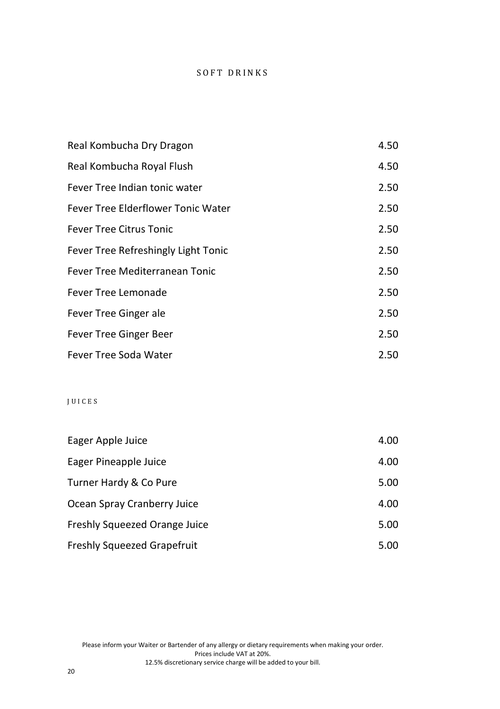# SOFT DRINKS

| Real Kombucha Dry Dragon            | 4.50 |
|-------------------------------------|------|
| Real Kombucha Royal Flush           | 4.50 |
| Fever Tree Indian tonic water       | 2.50 |
| Fever Tree Elderflower Tonic Water  | 2.50 |
| <b>Fever Tree Citrus Tonic</b>      | 2.50 |
| Fever Tree Refreshingly Light Tonic | 2.50 |
| Fever Tree Mediterranean Tonic      | 2.50 |
| Fever Tree Lemonade                 | 2.50 |
| Fever Tree Ginger ale               | 2.50 |
| Fever Tree Ginger Beer              | 2.50 |
| Fever Tree Soda Water               | 2.50 |

# J U I C E S

| Eager Apple Juice             | 4.00 |
|-------------------------------|------|
| Eager Pineapple Juice         | 4.00 |
| Turner Hardy & Co Pure        | 5.00 |
| Ocean Spray Cranberry Juice   | 4.00 |
| Freshly Squeezed Orange Juice | 5.00 |
| Freshly Squeezed Grapefruit   | 5.00 |

Please inform your Waiter or Bartender of any allergy or dietary requirements when making your order. Prices include VAT at 20%. 12.5% discretionary service charge will be added to your bill.

20